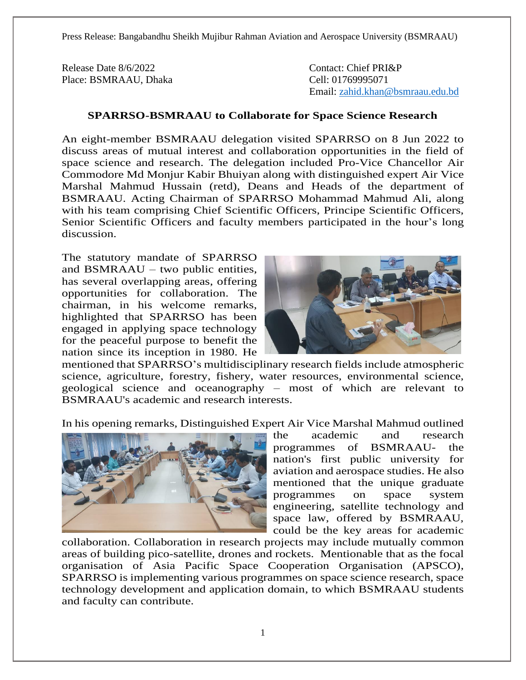Press Release: Bangabandhu Sheikh Mujibur Rahman Aviation and Aerospace University (BSMRAAU)

Release Date 8/6/2022 Contact: Chief PRI&P Place: BSMRAAU, Dhaka Cell: 01769995071

Email: [zahid.khan@bsmraau.edu.bd](mailto:zahid.khan@bsmraau.edu.bd)

## **SPARRSO-BSMRAAU to Collaborate for Space Science Research**

An eight-member BSMRAAU delegation visited SPARRSO on 8 Jun 2022 to discuss areas of mutual interest and collaboration opportunities in the field of space science and research. The delegation included Pro-Vice Chancellor Air Commodore Md Monjur Kabir Bhuiyan along with distinguished expert Air Vice Marshal Mahmud Hussain (retd), Deans and Heads of the department of BSMRAAU. Acting Chairman of SPARRSO Mohammad Mahmud Ali, along with his team comprising Chief Scientific Officers, Principe Scientific Officers, Senior Scientific Officers and faculty members participated in the hour's long discussion.

The statutory mandate of SPARRSO and BSMRAAU – two public entities, has several overlapping areas, offering opportunities for collaboration. The chairman, in his welcome remarks, highlighted that SPARRSO has been engaged in applying space technology for the peaceful purpose to benefit the nation since its inception in 1980. He



mentioned that SPARRSO's multidisciplinary research fields include atmospheric science, agriculture, forestry, fishery, water resources, environmental science, geological science and oceanography – most of which are relevant to BSMRAAU's academic and research interests.

In his opening remarks, Distinguished Expert Air Vice Marshal Mahmud outlined



the academic and research programmes of BSMRAAU- the nation's first public university for aviation and aerospace studies. He also mentioned that the unique graduate programmes on space system engineering, satellite technology and space law, offered by BSMRAAU, could be the key areas for academic

collaboration. Collaboration in research projects may include mutually common areas of building pico-satellite, drones and rockets. Mentionable that as the focal organisation of Asia Pacific Space Cooperation Organisation (APSCO), SPARRSO is implementing various programmes on space science research, space technology development and application domain, to which BSMRAAU students and faculty can contribute.